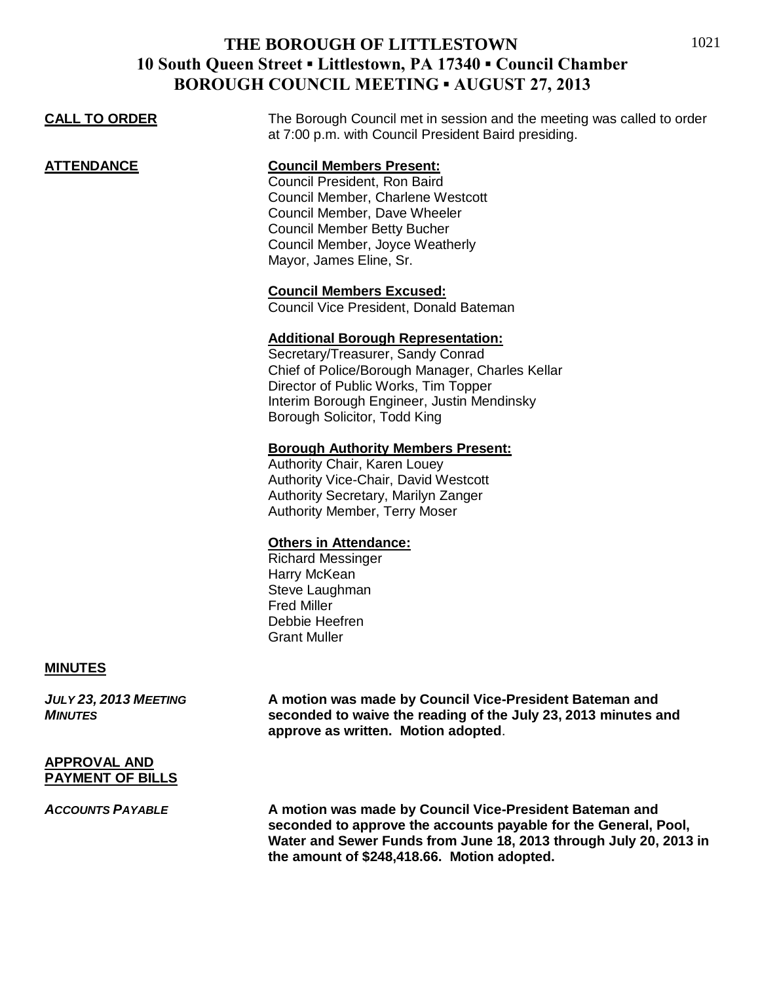|                      | $\sim$                                                                                                                                                                                                                                                  |
|----------------------|---------------------------------------------------------------------------------------------------------------------------------------------------------------------------------------------------------------------------------------------------------|
| <b>CALL TO ORDER</b> | The Borough Council met in session and the meeting was called to order<br>at 7:00 p.m. with Council President Baird presiding.                                                                                                                          |
| ATTENDANCE           | <b>Council Members Present:</b><br>Council President, Ron Baird<br>Council Member, Charlene Westcott<br>Council Member, Dave Wheeler<br><b>Council Member Betty Bucher</b><br>Council Member, Joyce Weatherly<br>Mayor, James Eline, Sr.                |
|                      | <b>Council Members Excused:</b><br>Council Vice President, Donald Bateman                                                                                                                                                                               |
|                      | <b>Additional Borough Representation:</b><br>Secretary/Treasurer, Sandy Conrad<br>Chief of Police/Borough Manager, Charles Kellar<br>Director of Public Works, Tim Topper<br>Interim Borough Engineer, Justin Mendinsky<br>Borough Solicitor, Todd King |
|                      | <b>Borough Authority Members Present:</b><br>Authority Chair, Karen Louey<br>Authority Vice-Chair, David Westcott<br>Authority Secretary, Marilyn Zanger<br><b>Authority Member, Terry Moser</b>                                                        |
|                      | <b>Others in Attendance:</b><br><b>Richard Messinger</b><br>Harry McKean<br>Steve Laughman                                                                                                                                                              |

Fred Miller Debbie Heefren Grant Muller

#### **MINUTES**

*JULY 23, 2013 MEETING* **A motion was made by Council Vice-President Bateman and**  *MINUTES* **seconded to waive the reading of the July 23, 2013 minutes and approve as written. Motion adopted**.

#### **APPROVAL AND PAYMENT OF BILLS**

*ACCOUNTS PAYABLE* **A motion was made by Council Vice-President Bateman and seconded to approve the accounts payable for the General, Pool, Water and Sewer Funds from June 18, 2013 through July 20, 2013 in the amount of \$248,418.66. Motion adopted.**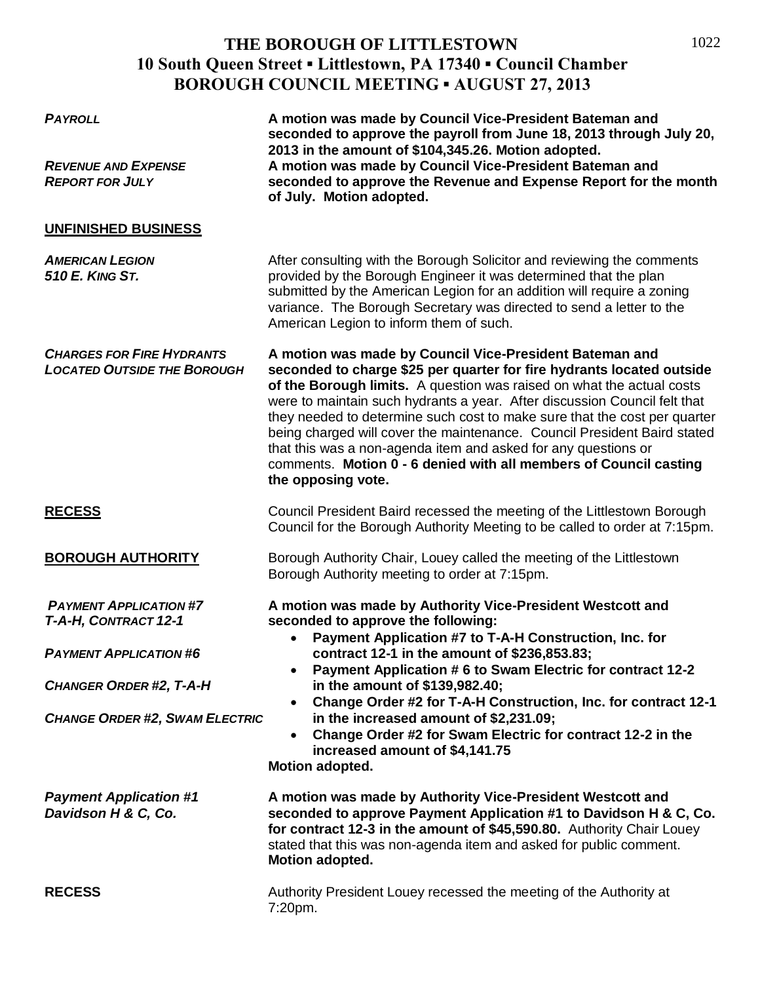1022

| <b>PAYROLL</b><br><b>REVENUE AND EXPENSE</b><br><b>REPORT FOR JULY</b>                                                                                            | A motion was made by Council Vice-President Bateman and<br>seconded to approve the payroll from June 18, 2013 through July 20,<br>2013 in the amount of \$104,345.26. Motion adopted.<br>A motion was made by Council Vice-President Bateman and<br>seconded to approve the Revenue and Expense Report for the month<br>of July. Motion adopted.                                                                                                                                                                                                                                                             |
|-------------------------------------------------------------------------------------------------------------------------------------------------------------------|--------------------------------------------------------------------------------------------------------------------------------------------------------------------------------------------------------------------------------------------------------------------------------------------------------------------------------------------------------------------------------------------------------------------------------------------------------------------------------------------------------------------------------------------------------------------------------------------------------------|
| UNFINISHED BUSINESS                                                                                                                                               |                                                                                                                                                                                                                                                                                                                                                                                                                                                                                                                                                                                                              |
| <b>AMERICAN LEGION</b><br>510 E. KING ST.                                                                                                                         | After consulting with the Borough Solicitor and reviewing the comments<br>provided by the Borough Engineer it was determined that the plan<br>submitted by the American Legion for an addition will require a zoning<br>variance. The Borough Secretary was directed to send a letter to the<br>American Legion to inform them of such.                                                                                                                                                                                                                                                                      |
| <b>CHARGES FOR FIRE HYDRANTS</b><br><b>LOCATED OUTSIDE THE BOROUGH</b>                                                                                            | A motion was made by Council Vice-President Bateman and<br>seconded to charge \$25 per quarter for fire hydrants located outside<br>of the Borough limits. A question was raised on what the actual costs<br>were to maintain such hydrants a year. After discussion Council felt that<br>they needed to determine such cost to make sure that the cost per quarter<br>being charged will cover the maintenance. Council President Baird stated<br>that this was a non-agenda item and asked for any questions or<br>comments. Motion 0 - 6 denied with all members of Council casting<br>the opposing vote. |
| <b>RECESS</b>                                                                                                                                                     | Council President Baird recessed the meeting of the Littlestown Borough<br>Council for the Borough Authority Meeting to be called to order at 7:15pm.                                                                                                                                                                                                                                                                                                                                                                                                                                                        |
| <b>BOROUGH AUTHORITY</b>                                                                                                                                          | Borough Authority Chair, Louey called the meeting of the Littlestown<br>Borough Authority meeting to order at 7:15pm.                                                                                                                                                                                                                                                                                                                                                                                                                                                                                        |
| <b>PAYMENT APPLICATION #7</b><br>T-A-H, CONTRACT 12-1<br><b>PAYMENT APPLICATION #6</b><br><b>CHANGER ORDER #2, T-A-H</b><br><b>CHANGE ORDER #2, SWAM ELECTRIC</b> | A motion was made by Authority Vice-President Westcott and<br>seconded to approve the following:<br>Payment Application #7 to T-A-H Construction, Inc. for<br>contract 12-1 in the amount of \$236,853.83;<br>Payment Application # 6 to Swam Electric for contract 12-2<br>$\bullet$<br>in the amount of \$139,982.40;<br>Change Order #2 for T-A-H Construction, Inc. for contract 12-1<br>$\bullet$<br>in the increased amount of \$2,231.09;<br>Change Order #2 for Swam Electric for contract 12-2 in the<br>$\bullet$<br>increased amount of \$4,141.75<br>Motion adopted.                             |
| <b>Payment Application #1</b><br>Davidson H & C, Co.                                                                                                              | A motion was made by Authority Vice-President Westcott and<br>seconded to approve Payment Application #1 to Davidson H & C, Co.<br>for contract 12-3 in the amount of \$45,590.80. Authority Chair Louey<br>stated that this was non-agenda item and asked for public comment.<br>Motion adopted.                                                                                                                                                                                                                                                                                                            |
| <b>RECESS</b>                                                                                                                                                     | Authority President Louey recessed the meeting of the Authority at<br>7:20pm.                                                                                                                                                                                                                                                                                                                                                                                                                                                                                                                                |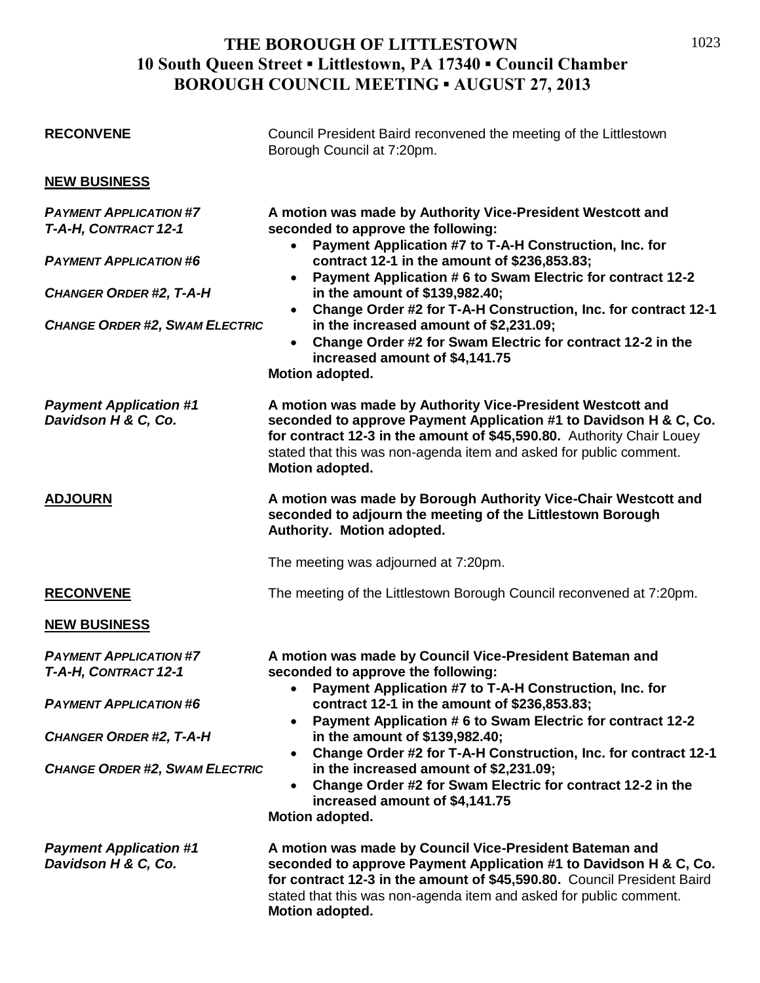| <b>RECONVENE</b>                                      | Council President Baird reconvened the meeting of the Littlestown<br>Borough Council at 7:20pm.                                                                                                                                                                                                                                                                                                                                                                                                                                                                                      |
|-------------------------------------------------------|--------------------------------------------------------------------------------------------------------------------------------------------------------------------------------------------------------------------------------------------------------------------------------------------------------------------------------------------------------------------------------------------------------------------------------------------------------------------------------------------------------------------------------------------------------------------------------------|
| <b>NEW BUSINESS</b>                                   |                                                                                                                                                                                                                                                                                                                                                                                                                                                                                                                                                                                      |
| <b>PAYMENT APPLICATION #7</b><br>T-A-H, CONTRACT 12-1 | A motion was made by Authority Vice-President Westcott and<br>seconded to approve the following:<br>Payment Application #7 to T-A-H Construction, Inc. for<br>contract 12-1 in the amount of \$236,853.83;<br>Payment Application # 6 to Swam Electric for contract 12-2<br>$\bullet$<br>in the amount of \$139,982.40;<br>Change Order #2 for T-A-H Construction, Inc. for contract 12-1<br>$\bullet$<br>in the increased amount of \$2,231.09;<br>Change Order #2 for Swam Electric for contract 12-2 in the<br>increased amount of \$4,141.75<br>Motion adopted.                  |
| <b>PAYMENT APPLICATION #6</b>                         |                                                                                                                                                                                                                                                                                                                                                                                                                                                                                                                                                                                      |
| <b>CHANGER ORDER #2, T-A-H</b>                        |                                                                                                                                                                                                                                                                                                                                                                                                                                                                                                                                                                                      |
| <b>CHANGE ORDER #2, SWAM ELECTRIC</b>                 |                                                                                                                                                                                                                                                                                                                                                                                                                                                                                                                                                                                      |
| <b>Payment Application #1</b><br>Davidson H & C, Co.  | A motion was made by Authority Vice-President Westcott and<br>seconded to approve Payment Application #1 to Davidson H & C, Co.<br>for contract 12-3 in the amount of \$45,590.80. Authority Chair Louey<br>stated that this was non-agenda item and asked for public comment.<br><b>Motion adopted.</b>                                                                                                                                                                                                                                                                             |
| <b>ADJOURN</b>                                        | A motion was made by Borough Authority Vice-Chair Westcott and<br>seconded to adjourn the meeting of the Littlestown Borough<br>Authority. Motion adopted.                                                                                                                                                                                                                                                                                                                                                                                                                           |
|                                                       | The meeting was adjourned at 7:20pm.                                                                                                                                                                                                                                                                                                                                                                                                                                                                                                                                                 |
| <b>RECONVENE</b>                                      | The meeting of the Littlestown Borough Council reconvened at 7:20pm.                                                                                                                                                                                                                                                                                                                                                                                                                                                                                                                 |
| <b>NEW BUSINESS</b>                                   |                                                                                                                                                                                                                                                                                                                                                                                                                                                                                                                                                                                      |
| <b>PAYMENT APPLICATION #7</b><br>T-A-H, CONTRACT 12-1 | A motion was made by Council Vice-President Bateman and<br>seconded to approve the following:<br>Payment Application #7 to T-A-H Construction, Inc. for<br>contract 12-1 in the amount of \$236,853.83;<br>Payment Application # 6 to Swam Electric for contract 12-2<br>$\bullet$<br>in the amount of \$139,982.40;<br>Change Order #2 for T-A-H Construction, Inc. for contract 12-1<br>$\bullet$<br>in the increased amount of \$2,231.09;<br>Change Order #2 for Swam Electric for contract 12-2 in the<br>$\bullet$<br>increased amount of \$4,141.75<br><b>Motion adopted.</b> |
| <b>PAYMENT APPLICATION #6</b>                         |                                                                                                                                                                                                                                                                                                                                                                                                                                                                                                                                                                                      |
| <b>CHANGER ORDER #2, T-A-H</b>                        |                                                                                                                                                                                                                                                                                                                                                                                                                                                                                                                                                                                      |
| <b>CHANGE ORDER #2, SWAM ELECTRIC</b>                 |                                                                                                                                                                                                                                                                                                                                                                                                                                                                                                                                                                                      |
| <b>Payment Application #1</b><br>Davidson H & C, Co.  | A motion was made by Council Vice-President Bateman and<br>seconded to approve Payment Application #1 to Davidson H & C, Co.<br>for contract 12-3 in the amount of \$45,590.80. Council President Baird<br>stated that this was non-agenda item and asked for public comment.<br>Motion adopted.                                                                                                                                                                                                                                                                                     |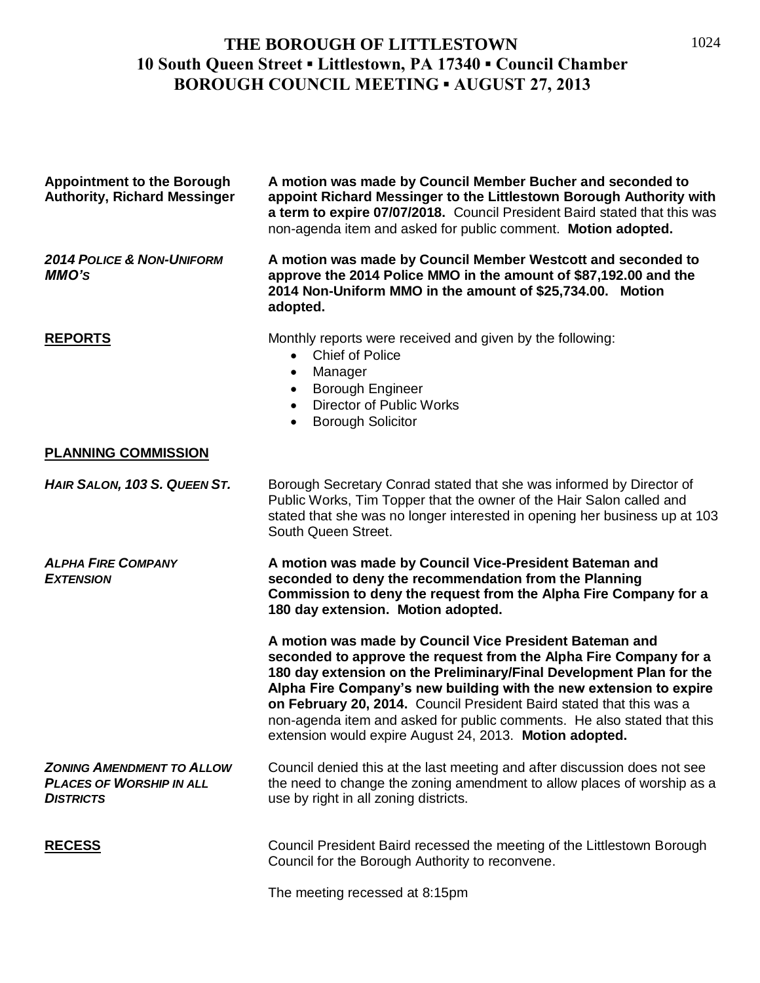| <b>Appointment to the Borough</b><br><b>Authority, Richard Messinger</b>                | A motion was made by Council Member Bucher and seconded to<br>appoint Richard Messinger to the Littlestown Borough Authority with<br>a term to expire 07/07/2018. Council President Baird stated that this was<br>non-agenda item and asked for public comment. Motion adopted.                                                                                                                                                                                                         |
|-----------------------------------------------------------------------------------------|-----------------------------------------------------------------------------------------------------------------------------------------------------------------------------------------------------------------------------------------------------------------------------------------------------------------------------------------------------------------------------------------------------------------------------------------------------------------------------------------|
| <b>2014 POLICE &amp; NON-UNIFORM</b><br><b>MMO'S</b>                                    | A motion was made by Council Member Westcott and seconded to<br>approve the 2014 Police MMO in the amount of \$87,192.00 and the<br>2014 Non-Uniform MMO in the amount of \$25,734.00. Motion<br>adopted.                                                                                                                                                                                                                                                                               |
| <b>REPORTS</b>                                                                          | Monthly reports were received and given by the following:<br><b>Chief of Police</b><br>$\bullet$<br>Manager<br>$\bullet$<br><b>Borough Engineer</b><br>$\bullet$<br><b>Director of Public Works</b><br>$\bullet$<br><b>Borough Solicitor</b><br>$\bullet$                                                                                                                                                                                                                               |
| <b>PLANNING COMMISSION</b>                                                              |                                                                                                                                                                                                                                                                                                                                                                                                                                                                                         |
| HAIR SALON, 103 S. QUEEN ST.                                                            | Borough Secretary Conrad stated that she was informed by Director of<br>Public Works, Tim Topper that the owner of the Hair Salon called and<br>stated that she was no longer interested in opening her business up at 103<br>South Queen Street.                                                                                                                                                                                                                                       |
| <b>ALPHA FIRE COMPANY</b><br><b>EXTENSION</b>                                           | A motion was made by Council Vice-President Bateman and<br>seconded to deny the recommendation from the Planning<br>Commission to deny the request from the Alpha Fire Company for a<br>180 day extension. Motion adopted.                                                                                                                                                                                                                                                              |
|                                                                                         | A motion was made by Council Vice President Bateman and<br>seconded to approve the request from the Alpha Fire Company for a<br>180 day extension on the Preliminary/Final Development Plan for the<br>Alpha Fire Company's new building with the new extension to expire<br>on February 20, 2014. Council President Baird stated that this was a<br>non-agenda item and asked for public comments. He also stated that this<br>extension would expire August 24, 2013. Motion adopted. |
| <b>ZONING AMENDMENT TO ALLOW</b><br><b>PLACES OF WORSHIP IN ALL</b><br><b>DISTRICTS</b> | Council denied this at the last meeting and after discussion does not see<br>the need to change the zoning amendment to allow places of worship as a<br>use by right in all zoning districts.                                                                                                                                                                                                                                                                                           |
| <b>RECESS</b>                                                                           | Council President Baird recessed the meeting of the Littlestown Borough<br>Council for the Borough Authority to reconvene.                                                                                                                                                                                                                                                                                                                                                              |

The meeting recessed at 8:15pm